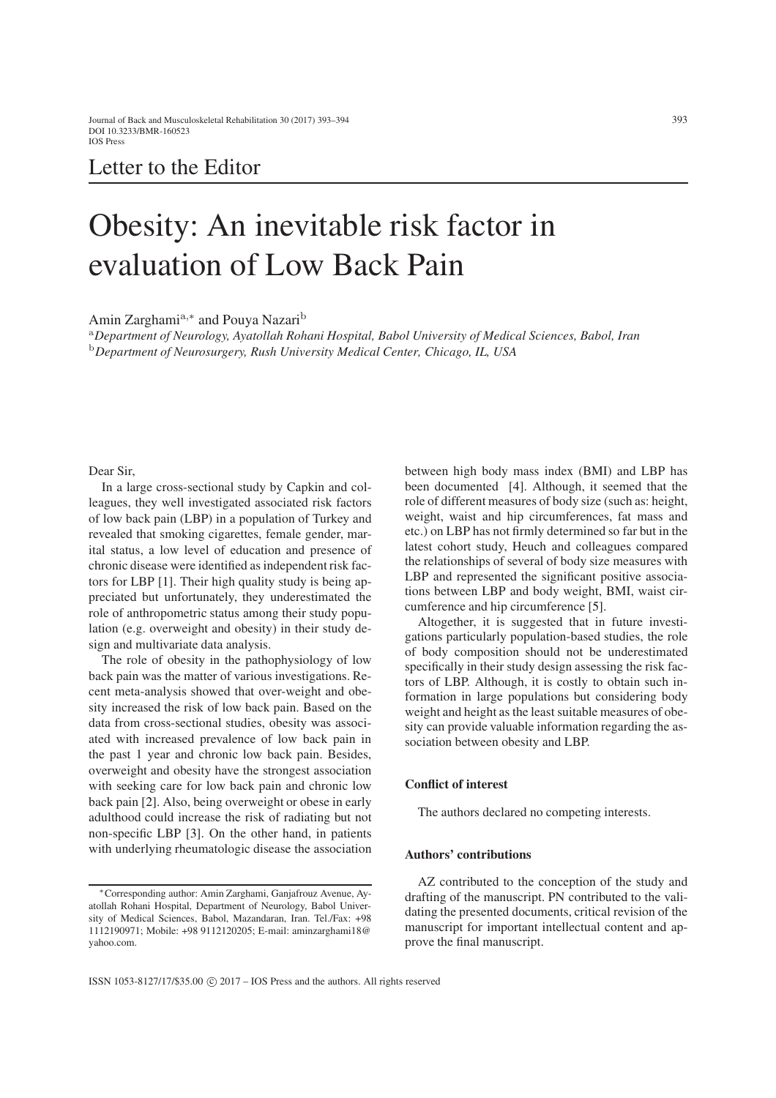## Letter to the Editor

# Obesity: An inevitable risk factor in evaluation of Low Back Pain

Amin Zarghamia*,*<sup>∗</sup> and Pouya Nazari<sup>b</sup>

<sup>a</sup>*Department of Neurology, Ayatollah Rohani Hospital, Babol University of Medical Sciences, Babol, Iran* <sup>b</sup>*Department of Neurosurgery, Rush University Medical Center, Chicago, IL, USA*

Dear Sir,

In a large cross-sectional study by Capkin and colleagues, they well investigated associated risk factors of low back pain (LBP) in a population of Turkey and revealed that smoking cigarettes, female gender, marital status, a low level of education and presence of chronic disease were identified as independent risk factors for LBP [\[1\]](#page-1-0). Their high quality study is being appreciated but unfortunately, they underestimated the role of anthropometric status among their study population (e.g. overweight and obesity) in their study design and multivariate data analysis.

The role of obesity in the pathophysiology of low back pain was the matter of various investigations. Recent meta-analysis showed that over-weight and obesity increased the risk of low back pain. Based on the data from cross-sectional studies, obesity was associated with increased prevalence of low back pain in the past 1 year and chronic low back pain. Besides, overweight and obesity have the strongest association with seeking care for low back pain and chronic low back pain [\[2\]](#page-1-1). Also, being overweight or obese in early adulthood could increase the risk of radiating but not non-specific LBP [\[3\]](#page-1-2). On the other hand, in patients with underlying rheumatologic disease the association

between high body mass index (BMI) and LBP has been documented [\[4\]](#page-1-3). Although, it seemed that the role of different measures of body size (such as: height, weight, waist and hip circumferences, fat mass and etc.) on LBP has not firmly determined so far but in the latest cohort study, Heuch and colleagues compared the relationships of several of body size measures with LBP and represented the significant positive associations between LBP and body weight, BMI, waist circumference and hip circumference [\[5\]](#page-1-4).

Altogether, it is suggested that in future investigations particularly population-based studies, the role of body composition should not be underestimated specifically in their study design assessing the risk factors of LBP. Although, it is costly to obtain such information in large populations but considering body weight and height as the least suitable measures of obesity can provide valuable information regarding the association between obesity and LBP.

#### Conflict of interest

The authors declared no competing interests.

### Authors' contributions

AZ contributed to the conception of the study and drafting of the manuscript. PN contributed to the validating the presented documents, critical revision of the manuscript for important intellectual content and approve the final manuscript.

<sup>∗</sup>Corresponding author: Amin Zarghami, Ganjafrouz Avenue, Ayatollah Rohani Hospital, Department of Neurology, Babol University of Medical Sciences, Babol, Mazandaran, Iran. Tel./Fax: +98 1112190971; Mobile: +98 9112120205; E-mail: aminzarghami18@ yahoo.com.